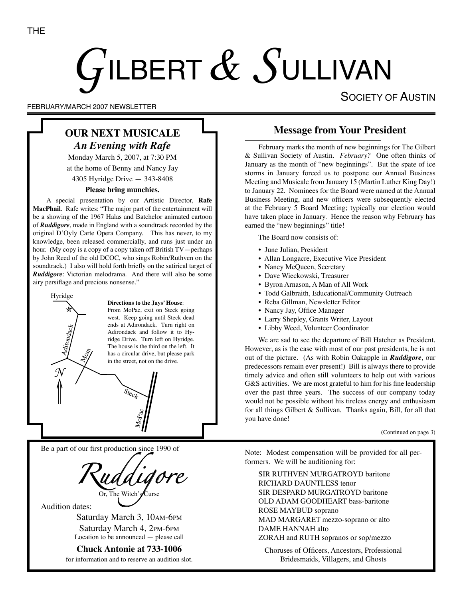# $G$ ilbert $\,\mathscr{X}\,S$ ullivan

FEBRUARY/MARCH 2007 NEWSLETTER

# **OUR NEXT MUSICALE** *An Evening with Rafe*

Monday March 5, 2007, at 7:30 PM at the home of Benny and Nancy Jay 4305 Hyridge Drive — 343-8408

#### **Please bring munchies.**

A special presentation by our Artistic Director, **Rafe MacPhail**. Rafe writes: "The major part of the entertainment will be a showing of the 1967 Halas and Batchelor animated cartoon of *Ruddigore*, made in England with a soundtrack recorded by the original D'Oyly Carte Opera Company. This has never, to my knowledge, been released commercially, and runs just under an hour. (My copy is a copy of a copy taken off British TV—perhaps by John Reed of the old DCOC, who sings Robin/Ruthven on the soundtrack.) I also will hold forth briefly on the satirical target of *Ruddigore*: Victorian melodrama. And there will also be some airy persiflage and precious nonsense."



#### **Directions to the Jays' House**:

From MoPac, exit on Steck going west. Keep going until Steck dead ends at Adirondack. Turn right on Adirondack and follow it to Hyridge Drive. Turn left on Hyridge. The house is the third on the left. It has a circular drive, but please park in the street, not on the drive.

Be a part of our first production since 1990 of

Or, The Witch's Curse

Audition dates:

Saturday March 3, 10AM-6PM Saturday March 4, 2PM-6PM Location to be announced — please call

**Chuck Antonie at 733-1006** for information and to reserve an audition slot.

## **Message from Your President**

SOCIETY OF AUSTIN

February marks the month of new beginnings for The Gilbert & Sullivan Society of Austin. *February?* One often thinks of January as the month of "new beginnings". But the spate of ice storms in January forced us to postpone our Annual Business Meeting and Musicale from January 15 (Martin Luther King Day!) to January 22. Nominees for the Board were named at the Annual Business Meeting, and new officers were subsequently elected at the February 5 Board Meeting; typically our election would have taken place in January. Hence the reason why February has earned the "new beginnings" title!

The Board now consists of:

- June Julian, President
- Allan Longacre, Executive Vice President
- Nancy McQueen, Secretary
- Dave Wieckowski, Treasurer
- Byron Arnason, A Man of All Work
- Todd Galbraith, Educational/Community Outreach
- Reba Gillman, Newsletter Editor
- Nancy Jay, Office Manager
- Larry Shepley, Grants Writer, Layout
- Libby Weed, Volunteer Coordinator

We are sad to see the departure of Bill Hatcher as President. However, as is the case with most of our past presidents, he is not out of the picture. (As with Robin Oakapple in *Ruddigore*, our predecessors remain ever present!) Bill is always there to provide timely advice and often still volunteers to help out with various G&S activities. We are most grateful to him for his fine leadership over the past three years. The success of our company today would not be possible without his tireless energy and enthusiasm for all things Gilbert & Sullivan. Thanks again, Bill, for all that you have done!

#### (Continued on page 3)

Note: Modest compensation will be provided for all performers. We will be auditioning for:

SIR RUTHVEN MURGATROYD baritone RICHARD DAUNTLESS tenor SIR DESPARD MURGATROYD baritone OLD ADAM GOODHEART bass-baritone ROSE MAYBUD soprano MAD MARGARET mezzo-soprano or alto DAME HANNAH alto ZORAH and RUTH sopranos or sop/mezzo

Choruses of Officers, Ancestors, Professional Bridesmaids, Villagers, and Ghosts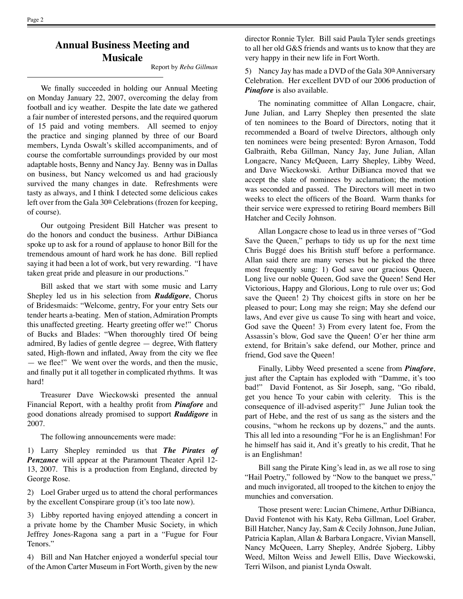## **Annual Business Meeting and Musicale**

Report by *Reba Gillman*

We finally succeeded in holding our Annual Meeting on Monday January 22, 2007, overcoming the delay from football and icy weather. Despite the late date we gathered a fair number of interested persons, and the required quorum of 15 paid and voting members. All seemed to enjoy the practice and singing planned by three of our Board members, Lynda Oswalt's skilled accompaniments, and of course the comfortable surroundings provided by our most adaptable hosts, Benny and Nancy Jay. Benny was in Dallas on business, but Nancy welcomed us and had graciously survived the many changes in date. Refreshments were tasty as always, and I think I detected some delicious cakes left over from the Gala  $30<sup>th</sup>$  Celebrations (frozen for keeping, of course).

Our outgoing President Bill Hatcher was present to do the honors and conduct the business. Arthur DiBianca spoke up to ask for a round of applause to honor Bill for the tremendous amount of hard work he has done. Bill replied saying it had been a lot of work, but very rewarding. "I have taken great pride and pleasure in our productions."

Bill asked that we start with some music and Larry Shepley led us in his selection from *Ruddigore*, Chorus of Bridesmaids: "Welcome, gentry, For your entry Sets our tender hearts a-beating. Men of station, Admiration Prompts this unaffected greeting. Hearty greeting offer we!" Chorus of Bucks and Blades: "When thoroughly tired Of being admired, By ladies of gentle degree — degree, With flattery sated, High-flown and inflated, Away from the city we flee — we flee!" We went over the words, and then the music, and finally put it all together in complicated rhythms. It was hard!

Treasurer Dave Wieckowski presented the annual Financial Report, with a healthy profit from *Pinafore* and good donations already promised to support *Ruddigore* in 2007.

The following announcements were made:

1) Larry Shepley reminded us that *The Pirates of Penzance* will appear at the Paramount Theater April 12- 13, 2007. This is a production from England, directed by George Rose.

2) Loel Graber urged us to attend the choral performances by the excellent Conspirare group (it's too late now).

3) Libby reported having enjoyed attending a concert in a private home by the Chamber Music Society, in which Jeffrey Jones-Ragona sang a part in a "Fugue for Four Tenors."

4) Bill and Nan Hatcher enjoyed a wonderful special tour of the Amon Carter Museum in Fort Worth, given by the new

director Ronnie Tyler. Bill said Paula Tyler sends greetings to all her old G&S friends and wants us to know that they are very happy in their new life in Fort Worth.

5) Nancy Jay has made a DVD of the Gala  $30<sup>th</sup>$  Anniversary Celebration. Her excellent DVD of our 2006 production of *Pinafore* is also available.

The nominating committee of Allan Longacre, chair, June Julian, and Larry Shepley then presented the slate of ten nominees to the Board of Directors, noting that it recommended a Board of twelve Directors, although only ten nominees were being presented: Byron Arnason, Todd Galbraith, Reba Gillman, Nancy Jay, June Julian, Allan Longacre, Nancy McQueen, Larry Shepley, Libby Weed, and Dave Wieckowski. Arthur DiBianca moved that we accept the slate of nominees by acclamation; the motion was seconded and passed. The Directors will meet in two weeks to elect the officers of the Board. Warm thanks for their service were expressed to retiring Board members Bill Hatcher and Cecily Johnson.

Allan Longacre chose to lead us in three verses of "God Save the Queen," perhaps to tidy us up for the next time Chris Buggé does his British stuff before a performance. Allan said there are many verses but he picked the three most frequently sung: 1) God save our gracious Queen, Long live our noble Queen, God save the Queen! Send Her Victorious, Happy and Glorious, Long to rule over us; God save the Queen! 2) Thy choicest gifts in store on her be pleased to pour; Long may she reign; May she defend our laws, And ever give us cause To sing with heart and voice, God save the Queen! 3) From every latent foe, From the Assassin's blow, God save the Queen! O'er her thine arm extend, for Britain's sake defend, our Mother, prince and friend, God save the Queen!

Finally, Libby Weed presented a scene from *Pinafore*, just after the Captain has exploded with "Damme, it's too bad!" David Fontenot, as Sir Joseph, sang, "Go ribald, get you hence To your cabin with celerity. This is the consequence of ill-advised asperity!" June Julian took the part of Hebe, and the rest of us sang as the sisters and the cousins, "whom he reckons up by dozens," and the aunts. This all led into a resounding "For he is an Englishman! For he himself has said it, And it's greatly to his credit, That he is an Englishman!

Bill sang the Pirate King's lead in, as we all rose to sing "Hail Poetry," followed by "Now to the banquet we press," and much invigorated, all trooped to the kitchen to enjoy the munchies and conversation.

Those present were: Lucian Chimene, Arthur DiBianca, David Fontenot with his Katy, Reba Gillman, Loel Graber, Bill Hatcher, Nancy Jay, Sam & Cecily Johnson, June Julian, Patricia Kaplan, Allan & Barbara Longacre, Vivian Mansell, Nancy McQueen, Larry Shepley, Andrée Sjoberg, Libby Weed, Milton Weiss and Jewell Ellis, Dave Wieckowski, Terri Wilson, and pianist Lynda Oswalt.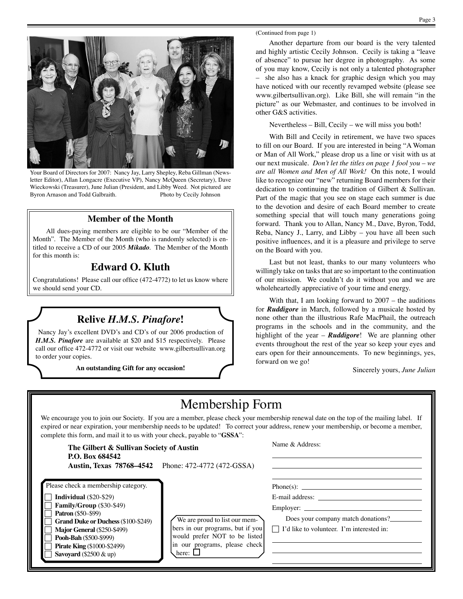

Your Board of Directors for 2007: Nancy Jay, Larry Shepley, Reba Gillman (Newsletter Editor), Allan Longacre (Executive VP), Nancy McQueen (Secretary), Dave Wieckowski (Treasurer), June Julian (President, and Libby Weed. Not pictured are Byron Arnason and Todd Galbraith. Photo by Cecily Johnson

#### **Member of the Month**

All dues-paying members are eligible to be our "Member of the Month". The Member of the Month (who is randomly selected) is entitled to receive a CD of our 2005 *Mikado*. The Member of the Month for this month is:

## **Edward O. Kluth**

Congratulations! Please call our office (472-4772) to let us know where we should send your CD.

## **Relive** *H.M.S. Pinafore***!**

Nancy Jay's excellent DVD's and CD's of our 2006 production of *H.M.S. Pinafore* are available at \$20 and \$15 respectively. Please call our office 472-4772 or visit our website www.gilbertsullivan.org to order your copies.

**An outstanding Gift for any occasion!**

Another departure from our board is the very talented and highly artistic Cecily Johnson. Cecily is taking a "leave of absence" to pursue her degree in photography. As some of you may know, Cecily is not only a talented photographer – she also has a knack for graphic design which you may have noticed with our recently revamped website (please see www.gilbertsullivan.org). Like Bill, she will remain "in the picture" as our Webmaster, and continues to be involved in other G&S activities.

Nevertheless – Bill, Cecily – we will miss you both!

With Bill and Cecily in retirement, we have two spaces to fill on our Board. If you are interested in being "A Woman or Man of All Work," please drop us a line or visit with us at our next musicale. *Don't let the titles on page 1 fool you – we are all Women and Men of All Work!* On this note, I would like to recognize our "new" returning Board members for their dedication to continuing the tradition of Gilbert & Sullivan. Part of the magic that you see on stage each summer is due to the devotion and desire of each Board member to create something special that will touch many generations going forward. Thank you to Allan, Nancy M., Dave, Byron, Todd, Reba, Nancy J., Larry, and Libby – you have all been such positive influences, and it is a pleasure and privilege to serve on the Board with you.

Last but not least, thanks to our many volunteers who willingly take on tasks that are so important to the continuation of our mission. We couldn't do it without you and we are wholeheartedly appreciative of your time and energy.

With that, I am looking forward to  $2007$  – the auditions for *Ruddigore* in March, followed by a musicale hosted by none other than the illustrious Rafe MacPhail, the outreach programs in the schools and in the community, and the highlight of the year – *Ruddigore*! We are planning other events throughout the rest of the year so keep your eyes and ears open for their announcements. To new beginnings, yes, forward on we go!

Sincerely yours, *June Julian*

# Membership Form

We encourage you to join our Society. If you are a member, please check your membership renewal date on the top of the mailing label. If expired or near expiration, your membership needs to be updated! To correct your address, renew your membership, or become a member, complete this form, and mail it to us with your check, payable to "**GSSA**":

| The Gilbert & Sullivan Society of Austin<br>P.O. Box 684542                                                                                                                                                                                                                                                      | <b>Austin, Texas 78768–4542</b> Phone: 472-4772 (472-GSSA)                                                                                          | Name & Address:                                                                                                                                                                                                                                                                                                          |
|------------------------------------------------------------------------------------------------------------------------------------------------------------------------------------------------------------------------------------------------------------------------------------------------------------------|-----------------------------------------------------------------------------------------------------------------------------------------------------|--------------------------------------------------------------------------------------------------------------------------------------------------------------------------------------------------------------------------------------------------------------------------------------------------------------------------|
| Please check a membership category.<br><b>Individual</b> $(\$20-\$29)$<br>Family/Group (\$30-\$49)<br><b>Patron</b> (\$50–\$99)<br><b>Grand Duke or Duchess (\$100-\$249)</b><br><b>Major General (\$250-\$499)</b><br>Pooh-Bah (\$500-\$999)<br><b>Pirate King (\$1000-\$2499)</b><br>Savoyard $(\$2500 \& up)$ | We are proud to list our mem-<br>bers in our programs, but if you<br>would prefer NOT to be listed<br>in our programs, please check<br>here: $\Box$ | E-mail address: the contract of the contract of the contract of the contract of the contract of the contract of the contract of the contract of the contract of the contract of the contract of the contract of the contract o<br>Does your company match donations?<br>$\Box$ I'd like to volunteer. I'm interested in: |